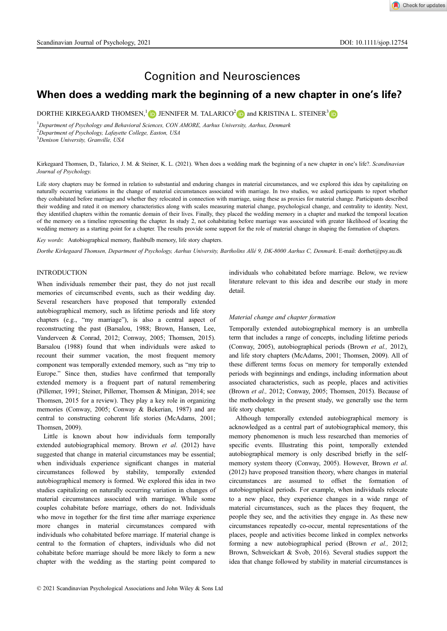# Cognition and Neurosciences

# When does a wedding mark the beginning of a new chapter in one's life?

DORTHE KIRKEGAARD THOMSEN,<sup>1</sup> **D** JENNIFER M. TALARICO<sup>2</sup> **D** and KRISTINA L. STEINER<sup>[3](https://orcid.org/0000-0002-0595-6744)</sup> **D** 

<sup>1</sup>Department of Psychology and Behavioral Sciences, CON AMORE, Aarhus University, Aarhus, Denmark <sup>2</sup>Department of Psychology, Lafayette College, Easton, USA

<sup>3</sup>Denison University, Granville, USA

#### Kirkegaard Thomsen, D., Talarico, J. M. & Steiner, K. L. (2021). When does a wedding mark the beginning of a new chapter in one's life?. Scandinavian Journal of Psychology.

Life story chapters may be formed in relation to substantial and enduring changes in material circumstances, and we explored this idea by capitalizing on naturally occurring variations in the change of material circumstances associated with marriage. In two studies, we asked participants to report whether they cohabitated before marriage and whether they relocated in connection with marriage, using these as proxies for material change. Participants described their wedding and rated it on memory characteristics along with scales measuring material change, psychological change, and centrality to identity. Next, they identified chapters within the romantic domain of their lives. Finally, they placed the wedding memory in a chapter and marked the temporal location of the memory on a timeline representing the chapter. In study 2, not cohabitating before marriage was associated with greater likelihood of locating the wedding memory as a starting point for a chapter. The results provide some support for the role of material change in shaping the formation of chapters.

Key words: Autobiographical memory, flashbulb memory, life story chapters.

Dorthe Kirkegaard Thomsen, Department of Psychology, Aarhus University, Bartholins Alle 9, DK-8000 Aarhus C, Denmark. E-mail: [dorthet@psy.au.dk](mailto:dorthet@psy.au.dk)

#### **INTRODUCTION**

When individuals remember their past, they do not just recall memories of circumscribed events, such as their wedding day. Several researchers have proposed that temporally extended autobiographical memory, such as lifetime periods and life story chapters (e.g., "my marriage"), is also a central aspect of reconstructing the past (Barsalou, 1988; Brown, Hansen, Lee, Vanderveen & Conrad, 2012; Conway, 2005; Thomsen, 2015). Barsalou (1988) found that when individuals were asked to recount their summer vacation, the most frequent memory component was temporally extended memory, such as "my trip to Europe." Since then, studies have confirmed that temporally extended memory is a frequent part of natural remembering (Pillemer, 1991; Steiner, Pillemer, Thomsen & Minigan, 2014; see Thomsen, 2015 for a review). They play a key role in organizing memories (Conway, 2005; Conway & Bekerian, 1987) and are central to constructing coherent life stories (McAdams, 2001; Thomsen, 2009).

Little is known about how individuals form temporally extended autobiographical memory. Brown et al. (2012) have suggested that change in material circumstances may be essential; when individuals experience significant changes in material circumstances followed by stability, temporally extended autobiographical memory is formed. We explored this idea in two studies capitalizing on naturally occurring variation in changes of material circumstances associated with marriage. While some couples cohabitate before marriage, others do not. Individuals who move in together for the first time after marriage experience more changes in material circumstances compared with individuals who cohabitated before marriage. If material change is central to the formation of chapters, individuals who did not cohabitate before marriage should be more likely to form a new chapter with the wedding as the starting point compared to

individuals who cohabitated before marriage. Below, we review literature relevant to this idea and describe our study in more detail.

# Material change and chapter formation

Temporally extended autobiographical memory is an umbrella term that includes a range of concepts, including lifetime periods (Conway, 2005), autobiographical periods (Brown et al., 2012), and life story chapters (McAdams, 2001; Thomsen, 2009). All of these different terms focus on memory for temporally extended periods with beginnings and endings, including information about associated characteristics, such as people, places and activities (Brown et al., 2012; Conway, 2005; Thomsen, 2015). Because of the methodology in the present study, we generally use the term life story chapter.

Although temporally extended autobiographical memory is acknowledged as a central part of autobiographical memory, this memory phenomenon is much less researched than memories of specific events. Illustrating this point, temporally extended autobiographical memory is only described briefly in the selfmemory system theory (Conway, 2005). However, Brown et al. (2012) have proposed transition theory, where changes in material circumstances are assumed to offset the formation of autobiographical periods. For example, when individuals relocate to a new place, they experience changes in a wide range of material circumstances, such as the places they frequent, the people they see, and the activities they engage in. As these new circumstances repeatedly co-occur, mental representations of the places, people and activities become linked in complex networks forming a new autobiographical period (Brown et al., 2012; Brown, Schweickart & Svob, 2016). Several studies support the idea that change followed by stability in material circumstances is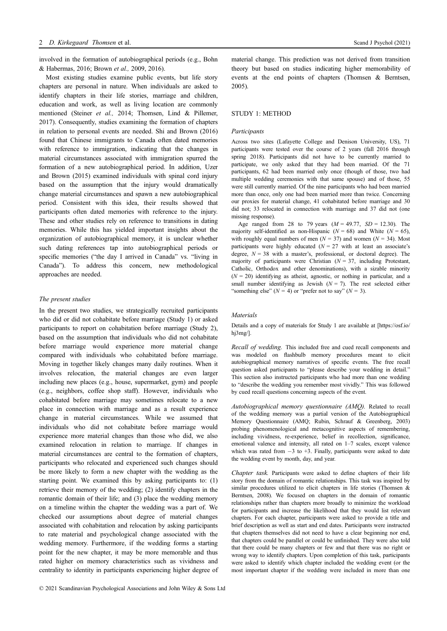involved in the formation of autobiographical periods (e.g., Bohn & Habermas, 2016; Brown et al., 2009, 2016).

Most existing studies examine public events, but life story chapters are personal in nature. When individuals are asked to identify chapters in their life stories, marriage and children, education and work, as well as living location are commonly mentioned (Steiner et al., 2014; Thomsen, Lind & Pillemer, 2017). Consequently, studies examining the formation of chapters in relation to personal events are needed. Shi and Brown (2016) found that Chinese immigrants to Canada often dated memories with reference to immigration, indicating that the changes in material circumstances associated with immigration spurred the formation of a new autobiographical period. In addition, Uzer and Brown (2015) examined individuals with spinal cord injury based on the assumption that the injury would dramatically change material circumstances and spawn a new autobiographical period. Consistent with this idea, their results showed that participants often dated memories with reference to the injury. These and other studies rely on reference to transitions in dating memories. While this has yielded important insights about the organization of autobiographical memory, it is unclear whether such dating references tap into autobiographical periods or specific memories ("the day I arrived in Canada" vs. "living in Canada"). To address this concern, new methodological approaches are needed.

# The present studies

In the present two studies, we strategically recruited participants who did or did not cohabitate before marriage (Study 1) or asked participants to report on cohabitation before marriage (Study 2), based on the assumption that individuals who did not cohabitate before marriage would experience more material change compared with individuals who cohabitated before marriage. Moving in together likely changes many daily routines. When it involves relocation, the material changes are even larger including new places (e.g., house, supermarket, gym) and people (e.g., neighbors, coffee shop staff). However, individuals who cohabitated before marriage may sometimes relocate to a new place in connection with marriage and as a result experience change in material circumstances. While we assumed that individuals who did not cohabitate before marriage would experience more material changes than those who did, we also examined relocation in relation to marriage. If changes in material circumstances are central to the formation of chapters, participants who relocated and experienced such changes should be more likely to form a new chapter with the wedding as the starting point. We examined this by asking participants to: (1) retrieve their memory of the wedding; (2) identify chapters in the romantic domain of their life; and (3) place the wedding memory on a timeline within the chapter the wedding was a part of. We checked our assumptions about degree of material changes associated with cohabitation and relocation by asking participants to rate material and psychological change associated with the wedding memory. Furthermore, if the wedding forms a starting point for the new chapter, it may be more memorable and thus rated higher on memory characteristics such as vividness and centrality to identity in participants experiencing higher degree of material change. This prediction was not derived from transition theory but based on studies indicating higher memorability of events at the end points of chapters (Thomsen & Berntsen, 2005).

# STUDY 1: METHOD

#### Participants

Across two sites (Lafayette College and Denison University, US), 71 participants were tested over the course of 2 years (fall 2016 through spring 2018). Participants did not have to be currently married to participate, we only asked that they had been married. Of the 71 participants, 62 had been married only once (though of those, two had multiple wedding ceremonies with that same spouse) and of those, 55 were still currently married. Of the nine participants who had been married more than once, only one had been married more than twice. Concerning our proxies for material change, 41 cohabitated before marriage and 30 did not; 33 relocated in connection with marriage and 37 did not (one missing response).

Age ranged from 28 to 79 years  $(M = 49.77, SD = 12.30)$ . The majority self-identified as non-Hispanic ( $N = 68$ ) and White ( $N = 65$ ), with roughly equal numbers of men ( $N = 37$ ) and women ( $N = 34$ ). Most participants were highly educated  $(N = 27)$  with at least an associate's degree,  $N = 38$  with a master's, professional, or doctoral degree). The majority of participants were Christian  $(N = 37$ , including Protestant, Catholic, Orthodox and other denominations), with a sizable minority  $(N = 20)$  identifying as atheist, agnostic, or nothing in particular, and a small number identifying as Jewish  $(N = 7)$ . The rest selected either "something else"  $(N = 4)$  or "prefer not to say"  $(N = 3)$ .

# Materials

Details and a copy of materials for Study 1 are available at [\[https://osf.io/](https://osf.io/hj3mg/) [hj3mg/](https://osf.io/hj3mg/)].

Recall of wedding. This included free and cued recall components and was modeled on flashbulb memory procedures meant to elicit autobiographical memory narratives of specific events. The free recall question asked participants to "please describe your wedding in detail." This section also instructed participants who had more than one wedding to "describe the wedding you remember most vividly." This was followed by cued recall questions concerning aspects of the event.

Autobiographical memory questionnaire (AMQ). Related to recall of the wedding memory was a partial version of the Autobiographical Memory Questionnaire (AMQ; Rubin, Schrauf & Greenberg, 2003) probing phenomenological and metacognitive aspects of remembering, including vividness, re-experience, belief in recollection, significance, emotional valence and intensity, all rated on 1–7 scales, except valence which was rated from  $-3$  to  $+3$ . Finally, participants were asked to date the wedding event by month, day, and year.

Chapter task. Participants were asked to define chapters of their life story from the domain of romantic relationships. This task was inspired by similar procedures utilized to elicit chapters in life stories (Thomsen & Berntsen, 2008). We focused on chapters in the domain of romantic relationships rather than chapters more broadly to minimize the workload for participants and increase the likelihood that they would list relevant chapters. For each chapter, participants were asked to provide a title and brief description as well as start and end dates. Participants were instructed that chapters themselves did not need to have a clear beginning nor end, that chapters could be parallel or could be unfinished. They were also told that there could be many chapters or few and that there was no right or wrong way to identify chapters. Upon completion of this task, participants were asked to identify which chapter included the wedding event (or the most important chapter if the wedding were included in more than one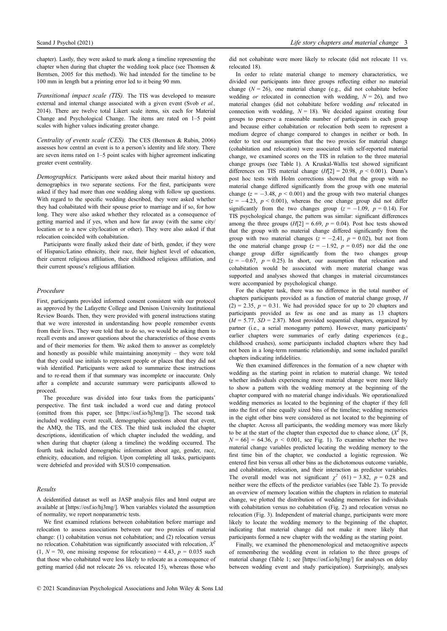chapter). Lastly, they were asked to mark along a timeline representing the chapter when during that chapter the wedding took place (see Thomsen & Berntsen, 2005 for this method). We had intended for the timeline to be 100 mm in length but a printing error led to it being 90 mm.

Transitional impact scale (TIS). The TIS was developed to measure external and internal change associated with a given event (Svob et al., 2014). There are twelve total Likert scale items, six each for Material Change and Psychological Change. The items are rated on 1–5 point scales with higher values indicating greater change.

Centrality of events scale (CES). The CES (Berntsen & Rubin, 2006) assesses how central an event is to a person's identity and life story. There are seven items rated on 1–5 point scales with higher agreement indicating greater event centrality.

Demographics. Participants were asked about their marital history and demographics in two separate sections. For the first, participants were asked if they had more than one wedding along with follow up questions. With regard to the specific wedding described, they were asked whether they had cohabitated with their spouse prior to marriage and if so, for how long. They were also asked whether they relocated as a consequence of getting married and if yes, when and how far away (with the same city/ location or to a new city/location or other). They were also asked if that relocation coincided with cohabitation.

Participants were finally asked their date of birth, gender, if they were of Hispanic/Latino ethnicity, their race, their highest level of education, their current religious affiliation, their childhood religious affiliation, and their current spouse's religious affiliation.

#### Procedure

First, participants provided informed consent consistent with our protocol as approved by the Lafayette College and Denison University Institutional Review Boards. Then, they were provided with general instructions stating that we were interested in understanding how people remember events from their lives. They were told that to do so, we would be asking them to recall events and answer questions about the characteristics of those events and of their memories for them. We asked them to answer as completely and honestly as possible while maintaining anonymity – they were told that they could use initials to represent people or places that they did not wish identified. Participants were asked to summarize these instructions and to re-read them if that summary was incomplete or inaccurate. Only after a complete and accurate summary were participants allowed to proceed.

The procedure was divided into four tasks from the participants' perspective. The first task included a word cue and dating protocol (omitted from this paper, see [\[https://osf.io/hj3mg/\]](https://osf.io/hj3mg/)). The second task included wedding event recall, demographic questions about that event, the AMQ, the TIS, and the CES. The third task included the chapter descriptions, identification of which chapter included the wedding, and when during that chapter (along a timeline) the wedding occurred. The fourth task included demographic information about age, gender, race, ethnicity, education, and religion. Upon completing all tasks, participants were debriefed and provided with \$US10 compensation.

#### Results

A deidentified dataset as well as JASP analysis files and html output are available at [\[https://osf.io/hj3mg/](https://osf.io/hj3mg/)]. When variables violated the assumption of normality, we report nonparametric tests.

We first examined relations between cohabitation before marriage and relocation to assess associations between our two proxies of material change: (1) cohabitation versus not cohabitation; and (2) relocation versus no relocation. Cohabitation was significantly associated with relocation,  $X^2$  $(1, N = 70)$ , one missing response for relocation) = 4.43,  $p = 0.035$  such that those who cohabitated were less likely to relocate as a consequence of getting married (did not relocate 26 vs. relocated 15), whereas those who did not cohabitate were more likely to relocate (did not relocate 11 vs. relocated 18).

In order to relate material change to memory characteristics, we divided our participants into three groups reflecting either no material change  $(N = 26)$ , one material change (e.g., did not cohabitate before wedding *or* relocated in connection with wedding,  $N = 26$ ), and two material changes (did not cohabitate before wedding and relocated in connection with wedding,  $N = 18$ ). We decided against creating four groups to preserve a reasonable number of participants in each group and because either cohabitation or relocation both seem to represent a medium degree of change compared to changes in neither or both. In order to test our assumption that the two proxies for material change (cohabitation and relocation) were associated with self-reported material change, we examined scores on the TIS in relation to the three material change groups (see Table 1). A Kruskal-Wallis test showed significant differences on TIS material change  $(H[2] = 20.98, p \le 0.001)$ . Dunn's post hoc tests with Holm corrections showed that the group with no material change differed significantly from the group with one material change ( $z = -3.48$ ,  $p < 0.001$ ) and the group with two material changes  $(z = -4.23, p < 0.001)$ , whereas the one change group did not differ significantly from the two changes group  $(z = -1.09, p = 0.14)$ . For TIS psychological change, the pattern was similar: significant differences among the three groups  $(H[2] = 6.69, p = 0.04)$ . Post hoc tests showed that the group with no material change differed significantly from the group with two material changes ( $z = -2.41$ ,  $p = 0.02$ ), but not from the one material change group  $(z = -1.92, p = 0.05)$  nor did the one change group differ significantly from the two changes group  $(z = -0.67, p = 0.25)$ . In short, our assumption that relocation and cohabitation would be associated with more material change was supported and analyses showed that changes in material circumstances were accompanied by psychological change.

For the chapter task, there was no difference in the total number of chapters participants provided as a function of material change group, H  $(2) = 2.35$ ,  $p = 0.31$ . We had provided space for up to 20 chapters and participants provided as few as one and as many as 13 chapters  $(M = 5.77, SD = 2.87)$ . Most provided sequential chapters, organized by partner (i.e., a serial monogamy pattern). However, many participants' earlier chapters were summaries of early dating experiences (e.g., childhood crushes), some participants included chapters where they had not been in a long-term romantic relationship, and some included parallel chapters indicating infidelities.

We then examined differences in the formation of a new chapter with wedding as the starting point in relation to material change. We tested whether individuals experiencing more material change were more likely to show a pattern with the wedding memory at the beginning of the chapter compared with no material change individuals. We operationalized wedding memories as located to the beginning of the chapter if they fell into the first of nine equally sized bins of the timeline; wedding memories in the eight other bins were considered as not located to the beginning of the chapter. Across all participants, the wedding memory was more likely to be at the start of the chapter than expected due to chance alone,  $(X^2 | 8,$  $N = 66$ ] = 64.36,  $p < 0.001$ , see Fig. 1). To examine whether the two material change variables predicted locating the wedding memory to the first time bin of the chapter, we conducted a logistic regression. We entered first bin versus all other bins as the dichotomous outcome variable, and cohabitation, relocation, and their interaction as predictor variables. The overall model was not significant  $\chi^2$  (61) = 3.82, p = 0.28 and neither were the effects of the predictor variables (see Table 2). To provide an overview of memory location within the chapters in relation to material change, we plotted the distribution of wedding memories for individuals with cohabitation versus no cohabitation (Fig. 2) and relocation versus no relocation (Fig. 3). Independent of material change, participants were more likely to locate the wedding memory to the beginning of the chapter, indicating that material change did not make it more likely that participants formed a new chapter with the wedding as the starting point.

Finally, we examined the phenomenological and metacognitive aspects of remembering the wedding event in relation to the three groups of material change (Table 1; see [\[https://osf.io/hj3mg/\]](https://osf.io/hj3mg/) for analyses on delay between wedding event and study participation). Surprisingly, analyses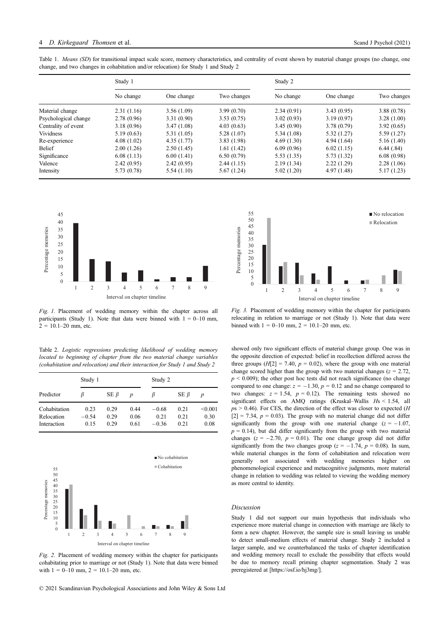Table 1. Means (SD) for transitional impact scale score, memory characteristics, and centrality of event shown by material change groups (no change, one change, and two changes in cohabitation and/or relocation) for Study 1 and Study 2

|                      | Study 1     |            |             | Study 2     |             |             |
|----------------------|-------------|------------|-------------|-------------|-------------|-------------|
|                      | No change   | One change | Two changes | No change   | One change  | Two changes |
| Material change      | 2.31(1.16)  | 3.56(1.09) | 3.99(0.70)  | 2.34(0.91)  | 3.43(0.95)  | 3.88(0.78)  |
| Psychological change | 2.78(0.96)  | 3.31(0.90) | 3.53(0.75)  | 3.02(0.93)  | 3.19(0.97)  | 3.28(1.00)  |
| Centrality of event  | 3.18(0.96)  | 3.47(1.08) | 4.03(0.63)  | 3.45(0.90)  | 3.78(0.79)  | 3.92(0.65)  |
| Vividness            | 5.19(0.63)  | 5.31(1.05) | 5.28(1.07)  | 5.34 (1.08) | 5.32(1.27)  | 5.59(1.27)  |
| Re-experience        | 4.08(1.02)  | 4.35(1.77) | 3.83(1.98)  | 4.69(1.30)  | 4.94(1.64)  | 5.16(1.40)  |
| Belief               | 2.00(1.26)  | 2.50(1.45) | 1.61(1.42)  | 6.09(0.96)  | 6.02(1.15)  | 6.44(0.84)  |
| Significance         | 6.08(1.13)  | 6.00(1.41) | 6.50(0.79)  | 5.53(1.35)  | 5.73 (1.32) | 6.08(0.98)  |
| Valence              | 2.42(0.95)  | 2.42(0.95) | 2.44(1.15)  | 2.19(1.34)  | 2.22(1.29)  | 2.28(1.06)  |
| Intensity            | 5.73 (0.78) | 5.54(1.10) | 5.67(1.24)  | 5.02(1.20)  | 4.97(1.48)  | 5.17(1.23)  |



Fig. 1. Placement of wedding memory within the chapter across all participants (Study 1). Note that data were binned with  $1 = 0$ –10 mm,  $2 = 10.1 - 20$  mm, etc.

Table 2. Logistic regressions predicting likelihood of wedding memory located to beginning of chapter from the two material change variables (cohabitation and relocation) and their interaction for Study 1 and Study 2

|                                           | Study 1                 |                      |                      | Study 2                    |                      |                         |  |
|-------------------------------------------|-------------------------|----------------------|----------------------|----------------------------|----------------------|-------------------------|--|
| Predictor                                 | ß                       | $SE \beta$           | $\boldsymbol{p}$     | ĸ                          | $SE \beta$           | $\boldsymbol{p}$        |  |
| Cohabitation<br>Relocation<br>Interaction | 0.23<br>$-0.54$<br>0.15 | 0.29<br>0.29<br>0.29 | 0.44<br>0.06<br>0.61 | $-0.68$<br>0.21<br>$-0.36$ | 0.21<br>0.21<br>0.21 | < 0.001<br>0.30<br>0.08 |  |



Fig. 2. Placement of wedding memory within the chapter for participants cohabitating prior to marriage or not (Study 1). Note that data were binned with  $1 = 0$ –10 mm,  $2 = 10.1$ –20 mm, etc.



Fig. 3. Placement of wedding memory within the chapter for participants relocating in relation to marriage or not (Study 1). Note that data were binned with  $1 = 0 - 10$  mm,  $2 = 10.1 - 20$  mm, etc.

showed only two significant effects of material change group. One was in the opposite direction of expected: belief in recollection differed across the three groups  $(H[2] = 7.40, p = 0.02)$ , where the group with one material change scored higher than the group with two material changes ( $z = 2.72$ ,  $p < 0.009$ ); the other post hoc tests did not reach significance (no change compared to one change:  $z = -1.30$ ,  $p = 0.12$  and no change compared to two changes:  $z = 1.54$ ,  $p = 0.12$ ). The remaining tests showed no significant effects on AMQ ratings (Kruskal–Wallis Hs < 1.54, all  $p_s > 0.46$ ). For CES, the direction of the effect was closer to expected (H  $[2] = 7.34$ ,  $p = 0.03$ ). The group with no material change did not differ significantly from the group with one material change  $(z = -1.07$ ,  $p = 0.14$ ), but did differ significantly from the group with two material changes ( $z = -2.70$ ,  $p = 0.01$ ). The one change group did not differ significantly from the two changes group ( $z = -1.74$ ,  $p = 0.08$ ). In sum, while material changes in the form of cohabitation and relocation were generally not associated with wedding memories higher on phenomenological experience and metacognitive judgments, more material change in relation to wedding was related to viewing the wedding memory as more central to identity.

#### Discussion

Study 1 did not support our main hypothesis that individuals who experience more material change in connection with marriage are likely to form a new chapter. However, the sample size is small leaving us unable to detect small-medium effects of material change. Study 2 included a larger sample, and we counterbalanced the tasks of chapter identification and wedding memory recall to exclude the possibility that effects would be due to memory recall priming chapter segmentation. Study 2 was preregistered at [\[https://osf.io/hj3mg/\]](https://osf.io/hj3mg/).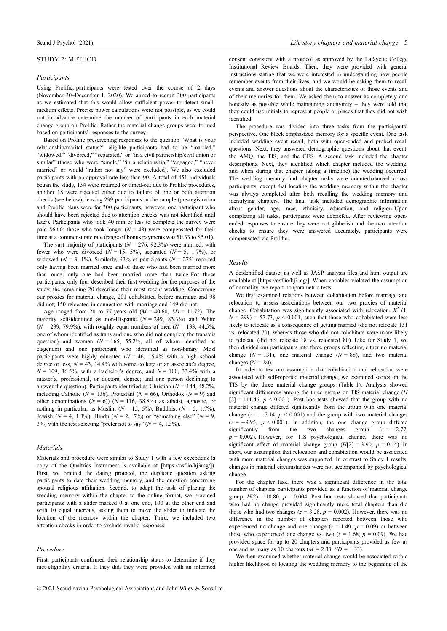# STUDY 2: METHOD

#### Participants

Using Prolific, participants were tested over the course of 2 days (November 30–December 1, 2020). We aimed to recruit 300 participants as we estimated that this would allow sufficient power to detect smallmedium effects. Precise power calculations were not possible, as we could not in advance determine the number of participants in each material change group on Prolific. Rather the material change groups were formed based on participants' responses to the survey.

Based on Prolific prescreening responses to the question "What is your relationship/marital status?" eligible participants had to be "married," "widowed," "divorced," "separated," or "in a civil partnership/civil union or similar" (those who were "single," "in a relationship," "engaged," "never married" or would "rather not say" were excluded). We also excluded participants with an approval rate less than 90. A total of 451 individuals began the study, 134 were returned or timed-out due to Prolific procedures, another 18 were rejected either due to failure of one or both attention checks (see below), leaving 299 participants in the sample (pre-registration and Prolific plans were for 300 participants, however, one participant who should have been rejected due to attention checks was not identified until later). Participants who took 40 min or less to complete the survey were paid \$6.60; those who took longer ( $N = 48$ ) were compensated for their time at a commensurate rate (range of bonus payments was \$0.33 to \$5.01).

The vast majority of participants ( $N = 276$ , 92.3%) were married, with fewer who were divorced  $(N = 15, 5\%)$ , separated  $(N = 5, 1.7\%)$ , or widowed ( $N = 3$ , 1%). Similarly, 92% of participants ( $N = 275$ ) reported only having been married once and of those who had been married more than once, only one had been married more than twice. For those participants, only four described their first wedding for the purposes of the study, the remaining 20 described their most recent wedding. Concerning our proxies for material change, 201 cohabitated before marriage and 98 did not; 150 relocated in connection with marriage and 149 did not.

Age ranged from 20 to 77 years old  $(M = 40.60, SD = 11.72)$ . The majority self-identified as non-Hispanic  $(N = 249, 83.3%)$  and White  $(N = 239, 79.9\%)$ , with roughly equal numbers of men  $(N = 133, 44.5\%)$ one of whom identified as trans and one who did not complete the trans/cis question) and women ( $N = 165$ , 55.2%, all of whom identified as cisgender) and one participant who identified as non-binary. Most participants were highly educated ( $N = 46$ , 15.4% with a high school degree or less,  $N = 43$ , 14.4% with some college or an associate's degree,  $N = 109, 36.5\%$ , with a bachelor's degree, and  $N = 100, 33.4\%$  with a master's, professional, or doctoral degree; and one person declining to answer the question). Participants identified as Christian ( $N = 144, 48.2\%$ , including Catholic ( $N = 136$ ), Protestant ( $N = 66$ ), Orthodox ( $N = 9$ ) and other denominations  $(N = 6)$ )  $(N = 116, 38.8%)$  as atheist, agnostic, or nothing in particular, as Muslim ( $N = 15, 5\%$ ), Buddhist ( $N = 5, 1.7\%$ ), Jewish ( $N = 4$ , 1.3%), Hindu ( $N = 2$ , .7%) or "something else" ( $N = 9$ , 3%) with the rest selecting "prefer not to say" ( $N = 4, 1.3\%$ ).

### Materials

Materials and procedure were similar to Study 1 with a few exceptions (a copy of the Qualtrics instrument is available at [[https://osf.io/hj3mg/\]](https://osf.io/hj3mg/)). First, we omitted the dating protocol, the duplicate question asking participants to date their wedding memory, and the question concerning spousal religious affiliation. Second, to adapt the task of placing the wedding memory within the chapter to the online format, we provided participants with a slider marked 0 at one end, 100 at the other end and with 10 equal intervals, asking them to move the slider to indicate the location of the memory within the chapter. Third, we included two attention checks in order to exclude invalid responses.

#### Procedure

First, participants confirmed their relationship status to determine if they met eligibility criteria. If they did, they were provided with an informed consent consistent with a protocol as approved by the Lafayette College Institutional Review Boards. Then, they were provided with general instructions stating that we were interested in understanding how people remember events from their lives, and we would be asking them to recall events and answer questions about the characteristics of those events and of their memories for them. We asked them to answer as completely and honestly as possible while maintaining anonymity – they were told that they could use initials to represent people or places that they did not wish identified.

The procedure was divided into three tasks from the participants' perspective. One block emphasized memory for a specific event. One task included wedding event recall, both with open-ended and probed recall questions. Next, they answered demographic questions about that event, the AMQ, the TIS, and the CES. A second task included the chapter descriptions. Next, they identified which chapter included the wedding, and when during that chapter (along a timeline) the wedding occurred. The wedding memory and chapter tasks were counterbalanced across participants, except that locating the wedding memory within the chapter was always completed after both recalling the wedding memory and identifying chapters. The final task included demographic information about gender, age, race, ethnicity, education, and religion. Upon completing all tasks, participants were debriefed. After reviewing openended responses to ensure they were not gibberish and the two attention checks to ensure they were answered accurately, participants were compensated via Prolific.

#### Results

A deidentified dataset as well as JASP analysis files and html output are available at [\[https://osf.io/hj3mg/](https://osf.io/hj3mg/)]. When variables violated the assumption of normality, we report nonparametric tests.

We first examined relations between cohabitation before marriage and relocation to assess associations between our two proxies of material change. Cohabitation was significantly associated with relocation,  $X^2$  (1,  $N = 299$  = 57.73,  $p < 0.001$ , such that those who cohabitated were less likely to relocate as a consequence of getting married (did not relocate 131 vs. relocated 70), whereas those who did not cohabitate were more likely to relocate (did not relocate 18 vs. relocated 80). Like for Study 1, we then divided our participants into three groups reflecting either no material change ( $N = 131$ ), one material change ( $N = 88$ ), and two material changes  $(N = 80)$ .

In order to test our assumption that cohabitation and relocation were associated with self-reported material change, we examined scores on the TIS by the three material change groups (Table 1). Analysis showed significant differences among the three groups on TIS material change (H  $[2] = 111.46$ ,  $p \le 0.001$ ). Post hoc tests showed that the group with no material change differed significantly from the group with one material change ( $z = -7.14$ ,  $p \le 0.001$ ) and the group with two material changes  $(z = -9.95, p < 0.001)$ . In addition, the one change group differed significantly from the two changes group  $(z = -2.77, z = 0.001)$ from the two changes  $p = 0.002$ ). However, for TIS psychological change, there was no significant effect of material change group  $(H[2] = 3.90, p = 0.14)$ . In short, our assumption that relocation and cohabitation would be associated with more material changes was supported. In contrast to Study 1 results, changes in material circumstances were not accompanied by psychological change.

For the chapter task, there was a significant difference in the total number of chapters participants provided as a function of material change group,  $H(2) = 10.80$ ,  $p = 0.004$ . Post hoc tests showed that participants who had no change provided significantly more total chapters than did those who had two changes ( $z = 3.28$ ,  $p = 0.002$ ). However, there was no difference in the number of chapters reported between those who experienced no change and one change ( $z = 1.49$ ,  $p = 0.09$ ) or between those who experienced one change vs. two  $(z = 1.68, p = 0.09)$ . We had provided space for up to 20 chapters and participants provided as few as one and as many as 10 chapters  $(M = 2.33, SD = 1.33)$ .

We then examined whether material change would be associated with a higher likelihood of locating the wedding memory to the beginning of the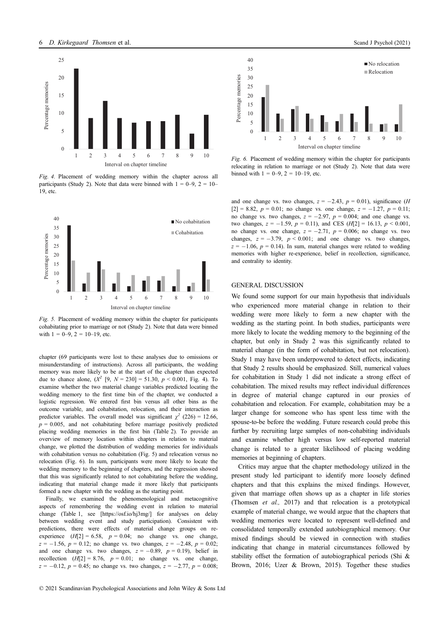

Fig. 4. Placement of wedding memory within the chapter across all participants (Study 2). Note that data were binned with  $1 = 0-9$ ,  $2 = 10-$ 19, etc.



Fig. 5. Placement of wedding memory within the chapter for participants cohabitating prior to marriage or not (Study 2). Note that data were binned with  $1 = 0-9$ ,  $2 = 10-19$ , etc.

chapter (69 participants were lost to these analyses due to omissions or misunderstanding of instructions). Across all participants, the wedding memory was more likely to be at the start of the chapter than expected due to chance alone,  $(X^2 \ [9, N = 230] = 51.30, p < 0.001$ , Fig. 4). To examine whether the two material change variables predicted locating the wedding memory to the first time bin of the chapter, we conducted a logistic regression. We entered first bin versus all other bins as the outcome variable, and cohabitation, relocation, and their interaction as predictor variables. The overall model was significant  $\gamma^2$  (226) = 12.66,  $p = 0.005$ , and not cohabitating before marriage positively predicted placing wedding memories in the first bin (Table 2). To provide an overview of memory location within chapters in relation to material change, we plotted the distribution of wedding memories for individuals with cohabitation versus no cohabitation (Fig. 5) and relocation versus no relocation (Fig. 6). In sum, participants were more likely to locate the wedding memory to the beginning of chapters, and the regression showed that this was significantly related to not cohabitating before the wedding, indicating that material change made it more likely that participants formed a new chapter with the wedding as the starting point.

Finally, we examined the phenomenological and metacognitive aspects of remembering the wedding event in relation to material change (Table 1, see [\[https://osf.io/hj3mg/](https://osf.io/hj3mg/)] for analyses on delay between wedding event and study participation). Consistent with predictions, there were effects of material change groups on reexperience  $(H[2] = 6.58, p = 0.04;$  no change vs. one change,  $z = -1.56$ ,  $p = 0.12$ ; no change vs. two changes,  $z = -2.48$ ,  $p = 0.02$ ; and one change vs. two changes,  $z = -0.89$ ,  $p = 0.19$ ), belief in recollection  $(H[2] = 8.76, p = 0.01;$  no change vs. one change,  $z = -0.12$ ,  $p = 0.45$ ; no change vs. two changes,  $z = -2.77$ ,  $p = 0.008$ ;



Fig. 6. Placement of wedding memory within the chapter for participants relocating in relation to marriage or not (Study 2). Note that data were binned with  $1 = 0-9$ ,  $2 = 10-19$ , etc.

and one change vs. two changes,  $z = -2.43$ ,  $p = 0.01$ ), significance (*H*  $[2] = 8.82$ ,  $p = 0.01$ ; no change vs. one change,  $z = -1.27$ ,  $p = 0.11$ ; no change vs. two changes,  $z = -2.97$ ,  $p = 0.004$ ; and one change vs. two changes,  $z = -1.59$ ,  $p = 0.11$ ), and CES ( $H[2] = 16.13$ ,  $p < 0.001$ , no change vs. one change,  $z = -2.71$ ,  $p = 0.006$ ; no change vs. two changes,  $z = -3.79$ ,  $p < 0.001$ ; and one change vs. two changes,  $z = -1.06$ ,  $p = 0.14$ ). In sum, material changes were related to wedding memories with higher re-experience, belief in recollection, significance, and centrality to identity.

#### GENERAL DISCUSSION

We found some support for our main hypothesis that individuals who experienced more material change in relation to their wedding were more likely to form a new chapter with the wedding as the starting point. In both studies, participants were more likely to locate the wedding memory to the beginning of the chapter, but only in Study 2 was this significantly related to material change (in the form of cohabitation, but not relocation). Study 1 may have been underpowered to detect effects, indicating that Study 2 results should be emphasized. Still, numerical values for cohabitation in Study 1 did not indicate a strong effect of cohabitation. The mixed results may reflect individual differences in degree of material change captured in our proxies of cohabitation and relocation. For example, cohabitation may be a larger change for someone who has spent less time with the spouse-to-be before the wedding. Future research could probe this further by recruiting large samples of non-cohabiting individuals and examine whether high versus low self-reported material change is related to a greater likelihood of placing wedding memories at beginning of chapters.

Critics may argue that the chapter methodology utilized in the present study led participant to identify more loosely defined chapters and that this explains the mixed findings. However, given that marriage often shows up as a chapter in life stories (Thomsen et al., 2017) and that relocation is a prototypical example of material change, we would argue that the chapters that wedding memories were located to represent well-defined and consolidated temporally extended autobiographical memory. Our mixed findings should be viewed in connection with studies indicating that change in material circumstances followed by stability offset the formation of autobiographical periods (Shi & Brown, 2016; Uzer & Brown, 2015). Together these studies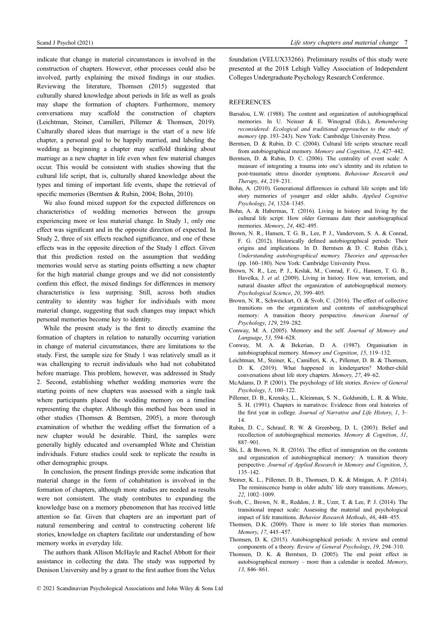indicate that change in material circumstances is involved in the construction of chapters. However, other processes could also be involved, partly explaining the mixed findings in our studies. Reviewing the literature, Thomsen (2015) suggested that culturally shared knowledge about periods in life as well as goals may shape the formation of chapters. Furthermore, memory conversations may scaffold the construction of chapters (Leichtman, Steiner, Camilleri, Pillemer & Thomsen, 2019). Culturally shared ideas that marriage is the start of a new life chapter, a personal goal to be happily married, and labeling the wedding as beginning a chapter may scaffold thinking about marriage as a new chapter in life even when few material changes occur. This would be consistent with studies showing that the cultural life script, that is, culturally shared knowledge about the types and timing of important life events, shape the retrieval of specific memories (Berntsen & Rubin, 2004; Bohn, 2010).

We also found mixed support for the expected differences on characteristics of wedding memories between the groups experiencing more or less material change. In Study 1, only one effect was significant and in the opposite direction of expected. In Study 2, three of six effects reached significance, and one of these effects was in the opposite direction of the Study 1 effect. Given that this prediction rested on the assumption that wedding memories would serve as starting points offsetting a new chapter for the high material change groups and we did not consistently confirm this effect, the mixed findings for differences in memory characteristics is less surprising. Still, across both studies centrality to identity was higher for individuals with more material change, suggesting that such changes may impact which personal memories become key to identity.

While the present study is the first to directly examine the formation of chapters in relation to naturally occurring variation in change of material circumstances, there are limitations to the study. First, the sample size for Study 1 was relatively small as it was challenging to recruit individuals who had not cohabitated before marriage. This problem, however, was addressed in Study 2. Second, establishing whether wedding memories were the starting points of new chapters was assessed with a single task where participants placed the wedding memory on a timeline representing the chapter. Although this method has been used in other studies (Thomsen & Berntsen, 2005), a more thorough examination of whether the wedding offset the formation of a new chapter would be desirable. Third, the samples were generally highly educated and oversampled White and Christian individuals. Future studies could seek to replicate the results in other demographic groups.

In conclusion, the present findings provide some indication that material change in the form of cohabitation is involved in the formation of chapters, although more studies are needed as results were not consistent. The study contributes to expanding the knowledge base on a memory phenomenon that has received little attention so far. Given that chapters are an important part of natural remembering and central to constructing coherent life stories, knowledge on chapters facilitate our understanding of how memory works in everyday life.

The authors thank Allison McHayle and Rachel Abbott for their assistance in collecting the data. The study was supported by Denison University and by a grant to the first author from the Velux foundation (VELUX33266). Preliminary results of this study were presented at the 2018 Lehigh Valley Association of Independent Colleges Undergraduate Psychology Research Conference.

#### **REFERENCES**

- Barsalou, L.W. (1988). The content and organization of autobiographical memories. In U. Neisser & E. Winograd (Eds.), Remembering reconsidered: Ecological and traditional approaches to the study of memory (pp. 193–243). New York: Cambridge University Press.
- Berntsen, D. & Rubin, D. C. (2004). Cultural life scripts structure recall from autobiographical memory. Memory and Cognition, 32, 427–442.
- Berntsen, D. & Rubin, D. C. (2006). The centrality of event scale: A measure of integrating a trauma into one's identity and its relation to post-traumatic stress disorder symptoms. Behaviour Research and Therapy, 44, 219–231.
- Bohn, A. (2010). Generational differences in cultural life scripts and life story memories of younger and older adults. Applied Cognitive Psychology, 24, 1324–1345.
- Bohn, A. & Habermas, T. (2016). Living in history and living by the cultural life script: How older Germans date their autobiographical memories. Memory, 24, 482-495.
- Brown, N. R., Hansen, T. G. B., Lee, P. J., Vanderveen, S. A. & Conrad, F. G. (2012). Historically defined autobiographical periods: Their origins and implications. In D. Berntsen & D. C. Rubin (Eds.), Understanding autobiographical memory. Theories and approaches (pp. 160–180). New York: Cambridge University Press.
- Brown, N. R., Lee, P. J., Krslak, M., Conrad, F. G., Hansen, T. G. B., Havelka, J. et al. (2009). Living in history. How war, terrorism, and natural disaster affect the organization of autobiographical memory. Psychological Science, 20, 399–405.
- Brown, N. R., Schweickart, O. & Svob, C. (2016). The effect of collective transitions on the organization and contents of autobiographical memory: A transition theory perspective. American Journal of Psychology, 129, 259–282.
- Conway, M. A. (2005). Memory and the self. Journal of Memory and Language, 53, 594–628.
- Conway, M. A. & Bekerian, D. A. (1987). Organisation in autobiographical memory. Memory and Cognition, 15, 119–132.
- Leichtman, M., Steiner, K., Camilleri, K. A., Pillemer, D. B. & Thomsen, D. K. (2019). What happened in kindergarten? Mother-child conversations about life story chapters. Memory, 27, 49–62.
- McAdams, D. P. (2001). The psychology of life stories. Review of General Psychology, 5, 100–122.
- Pillemer, D. B., Krensky, L., Kleinman, S. N., Goldsmith, L. R. & White, S. H. (1991). Chapters in narratives: Evidence from oral histories of the first year in college. Journal of Narrative and Life History, 1, 3– 14.
- Rubin, D. C., Schrauf, R. W. & Greenberg, D. L. (2003). Belief and recollection of autobiographical memories. Memory & Cognition, 31, 887–901.
- Shi, L. & Brown, N. R. (2016). The effect of immigration on the contents and organization of autobiographical memory: A transition theory perspective. Journal of Applied Research in Memory and Cognition, 5, 135–142.
- Steiner, K. L., Pillemer, D. B., Thomsen, D. K. & Minigan, A. P. (2014). The reminiscence bump in older adults' life story transitions. Memory, 22, 1002–1009.
- Svob, C., Brown, N. R., Reddon, J. R., Uzer, T. & Lee, P. J. (2014). The transitional impact scale: Assessing the material and psychological impact of life transitions. Behavior Research Methods, 46, 448–455.
- Thomsen, D.K. (2009). There is more to life stories than memories. Memory, 17, 445–457.
- Thomsen, D. K. (2015). Autobiographical periods: A review and central components of a theory. Review of General Psychology, 19, 294–310.
- Thomsen, D. K. & Berntsen, D. (2005). The end point effect in autobiographical memory – more than a calendar is needed. Memory, 13, 846–861.